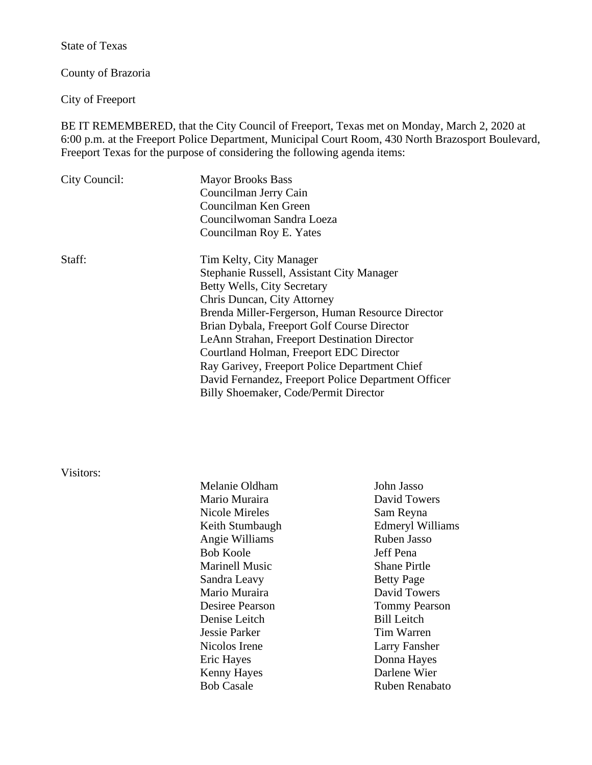State of Texas

County of Brazoria

City of Freeport

BE IT REMEMBERED, that the City Council of Freeport, Texas met on Monday, March 2, 2020 at 6:00 p.m. at the Freeport Police Department, Municipal Court Room, 430 North Brazosport Boulevard, Freeport Texas for the purpose of considering the following agenda items:

| City Council: | <b>Mayor Brooks Bass</b><br>Councilman Jerry Cain   |  |
|---------------|-----------------------------------------------------|--|
|               |                                                     |  |
|               | Councilman Ken Green                                |  |
|               | Councilwoman Sandra Loeza                           |  |
|               | Councilman Roy E. Yates                             |  |
| Staff:        | Tim Kelty, City Manager                             |  |
|               | Stephanie Russell, Assistant City Manager           |  |
|               | Betty Wells, City Secretary                         |  |
|               | Chris Duncan, City Attorney                         |  |
|               | Brenda Miller-Fergerson, Human Resource Director    |  |
|               | Brian Dybala, Freeport Golf Course Director         |  |
|               | LeAnn Strahan, Freeport Destination Director        |  |
|               | Courtland Holman, Freeport EDC Director             |  |
|               | Ray Garivey, Freeport Police Department Chief       |  |
|               | David Fernandez, Freeport Police Department Officer |  |
|               | Billy Shoemaker, Code/Permit Director               |  |
|               |                                                     |  |

# Visitors:

| Melanie Oldham         | John Jasso              |
|------------------------|-------------------------|
| Mario Muraira          | David Towers            |
| Nicole Mireles         | Sam Reyna               |
| Keith Stumbaugh        | <b>Edmeryl Williams</b> |
| Angie Williams         | Ruben Jasso             |
| <b>Bob Koole</b>       | Jeff Pena               |
| <b>Marinell Music</b>  | <b>Shane Pirtle</b>     |
| Sandra Leavy           | <b>Betty Page</b>       |
| Mario Muraira          | David Towers            |
| <b>Desiree Pearson</b> | <b>Tommy Pearson</b>    |
| Denise Leitch          | <b>Bill Leitch</b>      |
| <b>Jessie Parker</b>   | <b>Tim Warren</b>       |
| Nicolos Irene          | <b>Larry Fansher</b>    |
| Eric Hayes             | Donna Hayes             |
| <b>Kenny Hayes</b>     | Darlene Wier            |
| <b>Bob Casale</b>      | Ruben Renabato          |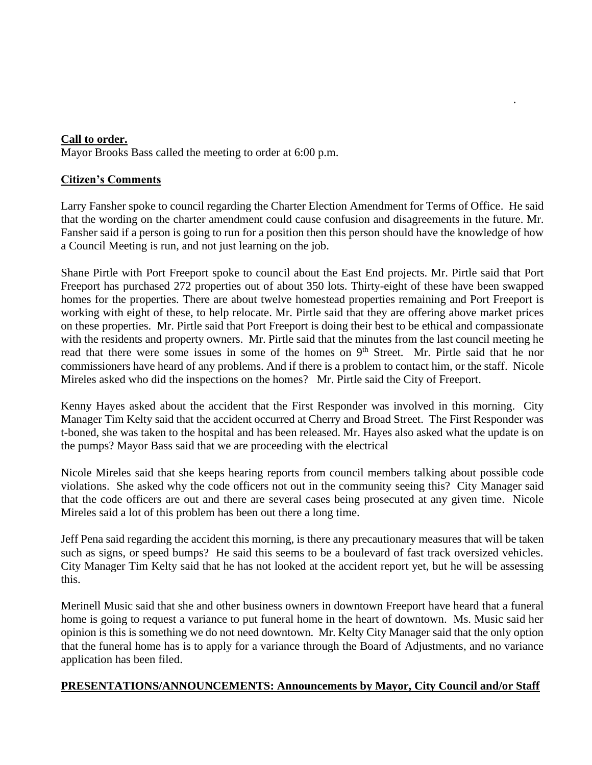### **Call to order.**

Mayor Brooks Bass called the meeting to order at 6:00 p.m.

## **Citizen's Comments**

Larry Fansher spoke to council regarding the Charter Election Amendment for Terms of Office. He said that the wording on the charter amendment could cause confusion and disagreements in the future. Mr. Fansher said if a person is going to run for a position then this person should have the knowledge of how a Council Meeting is run, and not just learning on the job.

.

Shane Pirtle with Port Freeport spoke to council about the East End projects. Mr. Pirtle said that Port Freeport has purchased 272 properties out of about 350 lots. Thirty-eight of these have been swapped homes for the properties. There are about twelve homestead properties remaining and Port Freeport is working with eight of these, to help relocate. Mr. Pirtle said that they are offering above market prices on these properties. Mr. Pirtle said that Port Freeport is doing their best to be ethical and compassionate with the residents and property owners. Mr. Pirtle said that the minutes from the last council meeting he read that there were some issues in some of the homes on 9<sup>th</sup> Street. Mr. Pirtle said that he nor commissioners have heard of any problems. And if there is a problem to contact him, or the staff. Nicole Mireles asked who did the inspections on the homes? Mr. Pirtle said the City of Freeport.

Kenny Hayes asked about the accident that the First Responder was involved in this morning. City Manager Tim Kelty said that the accident occurred at Cherry and Broad Street. The First Responder was t-boned, she was taken to the hospital and has been released. Mr. Hayes also asked what the update is on the pumps? Mayor Bass said that we are proceeding with the electrical

Nicole Mireles said that she keeps hearing reports from council members talking about possible code violations. She asked why the code officers not out in the community seeing this? City Manager said that the code officers are out and there are several cases being prosecuted at any given time. Nicole Mireles said a lot of this problem has been out there a long time.

Jeff Pena said regarding the accident this morning, is there any precautionary measures that will be taken such as signs, or speed bumps? He said this seems to be a boulevard of fast track oversized vehicles. City Manager Tim Kelty said that he has not looked at the accident report yet, but he will be assessing this.

Merinell Music said that she and other business owners in downtown Freeport have heard that a funeral home is going to request a variance to put funeral home in the heart of downtown. Ms. Music said her opinion is this is something we do not need downtown. Mr. Kelty City Manager said that the only option that the funeral home has is to apply for a variance through the Board of Adjustments, and no variance application has been filed.

## **PRESENTATIONS/ANNOUNCEMENTS: Announcements by Mayor, City Council and/or Staff**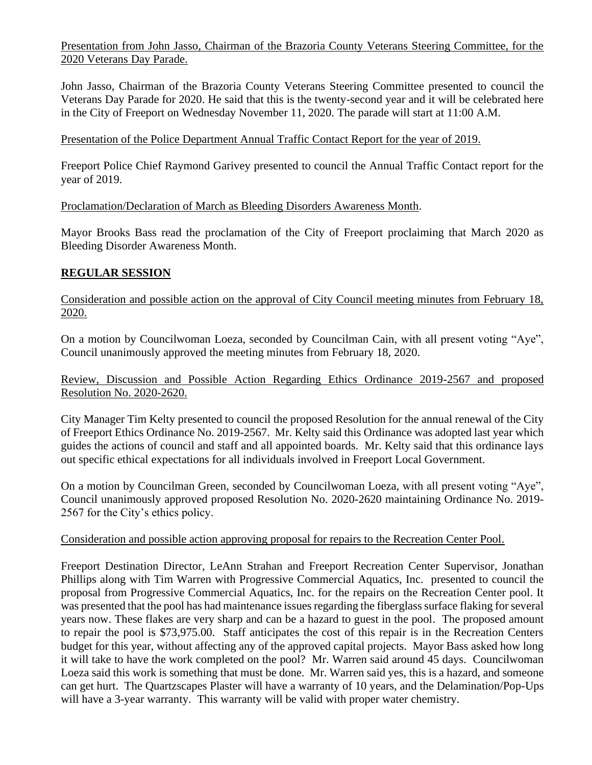Presentation from John Jasso, Chairman of the Brazoria County Veterans Steering Committee, for the 2020 Veterans Day Parade.

John Jasso, Chairman of the Brazoria County Veterans Steering Committee presented to council the Veterans Day Parade for 2020. He said that this is the twenty-second year and it will be celebrated here in the City of Freeport on Wednesday November 11, 2020. The parade will start at 11:00 A.M.

#### Presentation of the Police Department Annual Traffic Contact Report for the year of 2019.

Freeport Police Chief Raymond Garivey presented to council the Annual Traffic Contact report for the year of 2019.

Proclamation/Declaration of March as Bleeding Disorders Awareness Month.

Mayor Brooks Bass read the proclamation of the City of Freeport proclaiming that March 2020 as Bleeding Disorder Awareness Month.

#### **REGULAR SESSION**

Consideration and possible action on the approval of City Council meeting minutes from February 18, 2020.

On a motion by Councilwoman Loeza, seconded by Councilman Cain, with all present voting "Aye", Council unanimously approved the meeting minutes from February 18, 2020.

Review, Discussion and Possible Action Regarding Ethics Ordinance 2019-2567 and proposed Resolution No. 2020-2620.

City Manager Tim Kelty presented to council the proposed Resolution for the annual renewal of the City of Freeport Ethics Ordinance No. 2019-2567. Mr. Kelty said this Ordinance was adopted last year which guides the actions of council and staff and all appointed boards. Mr. Kelty said that this ordinance lays out specific ethical expectations for all individuals involved in Freeport Local Government.

On a motion by Councilman Green, seconded by Councilwoman Loeza, with all present voting "Aye", Council unanimously approved proposed Resolution No. 2020-2620 maintaining Ordinance No. 2019- 2567 for the City's ethics policy.

#### Consideration and possible action approving proposal for repairs to the Recreation Center Pool.

Freeport Destination Director, LeAnn Strahan and Freeport Recreation Center Supervisor, Jonathan Phillips along with Tim Warren with Progressive Commercial Aquatics, Inc. presented to council the proposal from Progressive Commercial Aquatics, Inc. for the repairs on the Recreation Center pool. It was presented that the pool has had maintenance issues regarding the fiberglass surface flaking for several years now. These flakes are very sharp and can be a hazard to guest in the pool. The proposed amount to repair the pool is \$73,975.00. Staff anticipates the cost of this repair is in the Recreation Centers budget for this year, without affecting any of the approved capital projects. Mayor Bass asked how long it will take to have the work completed on the pool? Mr. Warren said around 45 days. Councilwoman Loeza said this work is something that must be done. Mr. Warren said yes, this is a hazard, and someone can get hurt. The Quartzscapes Plaster will have a warranty of 10 years, and the Delamination/Pop-Ups will have a 3-year warranty. This warranty will be valid with proper water chemistry.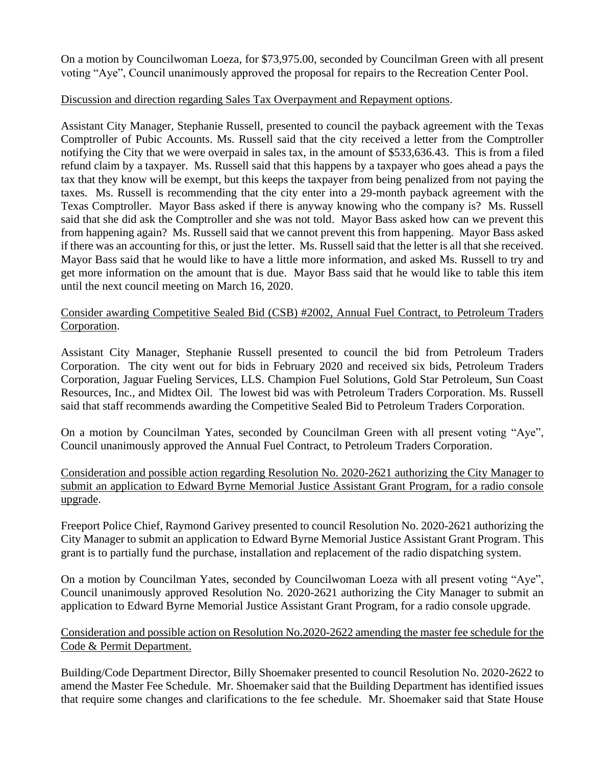On a motion by Councilwoman Loeza, for \$73,975.00, seconded by Councilman Green with all present voting "Aye", Council unanimously approved the proposal for repairs to the Recreation Center Pool.

### Discussion and direction regarding Sales Tax Overpayment and Repayment options.

Assistant City Manager, Stephanie Russell, presented to council the payback agreement with the Texas Comptroller of Pubic Accounts. Ms. Russell said that the city received a letter from the Comptroller notifying the City that we were overpaid in sales tax, in the amount of \$533,636.43. This is from a filed refund claim by a taxpayer. Ms. Russell said that this happens by a taxpayer who goes ahead a pays the tax that they know will be exempt, but this keeps the taxpayer from being penalized from not paying the taxes. Ms. Russell is recommending that the city enter into a 29-month payback agreement with the Texas Comptroller. Mayor Bass asked if there is anyway knowing who the company is? Ms. Russell said that she did ask the Comptroller and she was not told. Mayor Bass asked how can we prevent this from happening again? Ms. Russell said that we cannot prevent this from happening. Mayor Bass asked if there was an accounting for this, or just the letter. Ms. Russell said that the letter is all that she received. Mayor Bass said that he would like to have a little more information, and asked Ms. Russell to try and get more information on the amount that is due. Mayor Bass said that he would like to table this item until the next council meeting on March 16, 2020.

## Consider awarding Competitive Sealed Bid (CSB) #2002, Annual Fuel Contract, to Petroleum Traders Corporation.

Assistant City Manager, Stephanie Russell presented to council the bid from Petroleum Traders Corporation. The city went out for bids in February 2020 and received six bids, Petroleum Traders Corporation, Jaguar Fueling Services, LLS. Champion Fuel Solutions, Gold Star Petroleum, Sun Coast Resources, Inc., and Midtex Oil. The lowest bid was with Petroleum Traders Corporation. Ms. Russell said that staff recommends awarding the Competitive Sealed Bid to Petroleum Traders Corporation.

On a motion by Councilman Yates, seconded by Councilman Green with all present voting "Aye", Council unanimously approved the Annual Fuel Contract, to Petroleum Traders Corporation.

Consideration and possible action regarding Resolution No. 2020-2621 authorizing the City Manager to submit an application to Edward Byrne Memorial Justice Assistant Grant Program, for a radio console upgrade.

Freeport Police Chief, Raymond Garivey presented to council Resolution No. 2020-2621 authorizing the City Manager to submit an application to Edward Byrne Memorial Justice Assistant Grant Program. This grant is to partially fund the purchase, installation and replacement of the radio dispatching system.

On a motion by Councilman Yates, seconded by Councilwoman Loeza with all present voting "Aye", Council unanimously approved Resolution No. 2020-2621 authorizing the City Manager to submit an application to Edward Byrne Memorial Justice Assistant Grant Program, for a radio console upgrade.

Consideration and possible action on Resolution No.2020-2622 amending the master fee schedule for the Code & Permit Department.

Building/Code Department Director, Billy Shoemaker presented to council Resolution No. 2020-2622 to amend the Master Fee Schedule. Mr. Shoemaker said that the Building Department has identified issues that require some changes and clarifications to the fee schedule. Mr. Shoemaker said that State House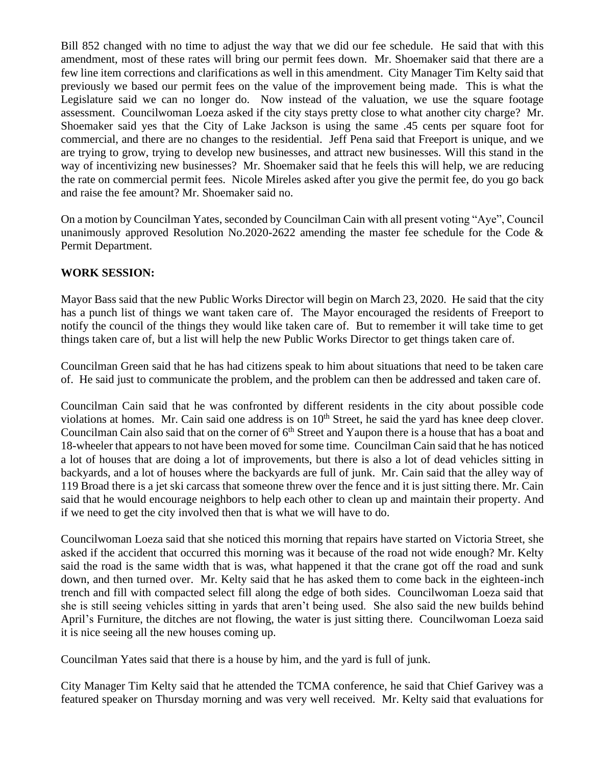Bill 852 changed with no time to adjust the way that we did our fee schedule. He said that with this amendment, most of these rates will bring our permit fees down. Mr. Shoemaker said that there are a few line item corrections and clarifications as well in this amendment. City Manager Tim Kelty said that previously we based our permit fees on the value of the improvement being made. This is what the Legislature said we can no longer do. Now instead of the valuation, we use the square footage assessment. Councilwoman Loeza asked if the city stays pretty close to what another city charge? Mr. Shoemaker said yes that the City of Lake Jackson is using the same .45 cents per square foot for commercial, and there are no changes to the residential. Jeff Pena said that Freeport is unique, and we are trying to grow, trying to develop new businesses, and attract new businesses. Will this stand in the way of incentivizing new businesses? Mr. Shoemaker said that he feels this will help, we are reducing the rate on commercial permit fees. Nicole Mireles asked after you give the permit fee, do you go back and raise the fee amount? Mr. Shoemaker said no.

On a motion by Councilman Yates, seconded by Councilman Cain with all present voting "Aye", Council unanimously approved Resolution No.2020-2622 amending the master fee schedule for the Code  $\&$ Permit Department.

### **WORK SESSION:**

Mayor Bass said that the new Public Works Director will begin on March 23, 2020. He said that the city has a punch list of things we want taken care of. The Mayor encouraged the residents of Freeport to notify the council of the things they would like taken care of. But to remember it will take time to get things taken care of, but a list will help the new Public Works Director to get things taken care of.

Councilman Green said that he has had citizens speak to him about situations that need to be taken care of. He said just to communicate the problem, and the problem can then be addressed and taken care of.

Councilman Cain said that he was confronted by different residents in the city about possible code violations at homes. Mr. Cain said one address is on  $10<sup>th</sup>$  Street, he said the yard has knee deep clover. Councilman Cain also said that on the corner of  $6<sup>th</sup>$  Street and Yaupon there is a house that has a boat and 18-wheeler that appears to not have been moved for some time. Councilman Cain said that he has noticed a lot of houses that are doing a lot of improvements, but there is also a lot of dead vehicles sitting in backyards, and a lot of houses where the backyards are full of junk. Mr. Cain said that the alley way of 119 Broad there is a jet ski carcass that someone threw over the fence and it is just sitting there. Mr. Cain said that he would encourage neighbors to help each other to clean up and maintain their property. And if we need to get the city involved then that is what we will have to do.

Councilwoman Loeza said that she noticed this morning that repairs have started on Victoria Street, she asked if the accident that occurred this morning was it because of the road not wide enough? Mr. Kelty said the road is the same width that is was, what happened it that the crane got off the road and sunk down, and then turned over. Mr. Kelty said that he has asked them to come back in the eighteen-inch trench and fill with compacted select fill along the edge of both sides. Councilwoman Loeza said that she is still seeing vehicles sitting in yards that aren't being used. She also said the new builds behind April's Furniture, the ditches are not flowing, the water is just sitting there. Councilwoman Loeza said it is nice seeing all the new houses coming up.

Councilman Yates said that there is a house by him, and the yard is full of junk.

City Manager Tim Kelty said that he attended the TCMA conference, he said that Chief Garivey was a featured speaker on Thursday morning and was very well received. Mr. Kelty said that evaluations for